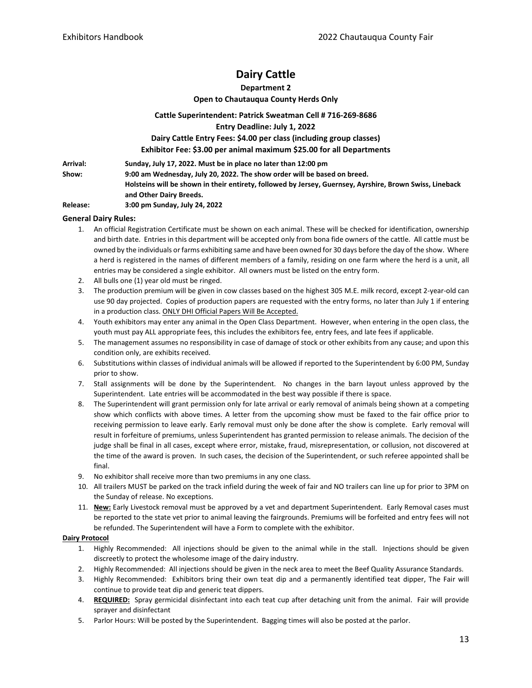# **Dairy Cattle**

## **Department 2**

**Open to Chautauqua County Herds Only**

#### **Cattle Superintendent: Patrick Sweatman Cell # 716-269-8686**

**Entry Deadline: July 1, 2022**

## **Dairy Cattle Entry Fees: \$4.00 per class (including group classes)**

**Exhibitor Fee: \$3.00 per animal maximum \$25.00 for all Departments**

**Arrival: Sunday, July 17, 2022. Must be in place no later than 12:00 pm Show: 9:00 am Wednesday, July 20, 2022. The show order will be based on breed. Holsteins will be shown in their entirety, followed by Jersey, Guernsey, Ayrshire, Brown Swiss, Lineback and Other Dairy Breeds.**

**Release: 3:00 pm Sunday, July 24, 2022** 

## **General Dairy Rules:**

- 1. An official Registration Certificate must be shown on each animal. These will be checked for identification, ownership and birth date. Entries in this department will be accepted only from bona fide owners of the cattle. All cattle must be owned by the individuals or farms exhibiting same and have been owned for 30 days before the day of the show. Where a herd is registered in the names of different members of a family, residing on one farm where the herd is a unit, all entries may be considered a single exhibitor. All owners must be listed on the entry form.
- 2. All bulls one (1) year old must be ringed.
- 3. The production premium will be given in cow classes based on the highest 305 M.E. milk record, except 2-year-old can use 90 day projected. Copies of production papers are requested with the entry forms, no later than July 1 if entering in a production class. ONLY DHI Official Papers Will Be Accepted.
- 4. Youth exhibitors may enter any animal in the Open Class Department. However, when entering in the open class, the youth must pay ALL appropriate fees, this includes the exhibitors fee, entry fees, and late fees if applicable.
- 5. The management assumes no responsibility in case of damage of stock or other exhibits from any cause; and upon this condition only, are exhibits received.
- 6. Substitutions within classes of individual animals will be allowed if reported to the Superintendent by 6:00 PM, Sunday prior to show.
- 7. Stall assignments will be done by the Superintendent. No changes in the barn layout unless approved by the Superintendent. Late entries will be accommodated in the best way possible if there is space.
- 8. The Superintendent will grant permission only for late arrival or early removal of animals being shown at a competing show which conflicts with above times. A letter from the upcoming show must be faxed to the fair office prior to receiving permission to leave early. Early removal must only be done after the show is complete. Early removal will result in forfeiture of premiums, unless Superintendent has granted permission to release animals. The decision of the judge shall be final in all cases, except where error, mistake, fraud, misrepresentation, or collusion, not discovered at the time of the award is proven. In such cases, the decision of the Superintendent, or such referee appointed shall be final.
- 9. No exhibitor shall receive more than two premiums in any one class.
- 10. All trailers MUST be parked on the track infield during the week of fair and NO trailers can line up for prior to 3PM on the Sunday of release. No exceptions.
- 11. **New:** Early Livestock removal must be approved by a vet and department Superintendent. Early Removal cases must be reported to the state vet prior to animal leaving the fairgrounds. Premiums will be forfeited and entry fees will not be refunded. The Superintendent will have a Form to complete with the exhibitor.

## **Dairy Protocol**

- 1. Highly Recommended: All injections should be given to the animal while in the stall. Injections should be given discreetly to protect the wholesome image of the dairy industry.
- 2. Highly Recommended: All injections should be given in the neck area to meet the Beef Quality Assurance Standards.
- 3. Highly Recommended: Exhibitors bring their own teat dip and a permanently identified teat dipper, The Fair will continue to provide teat dip and generic teat dippers.
- 4. **REQUIRED:** Spray germicidal disinfectant into each teat cup after detaching unit from the animal. Fair will provide sprayer and disinfectant
- 5. Parlor Hours: Will be posted by the Superintendent. Bagging times will also be posted at the parlor.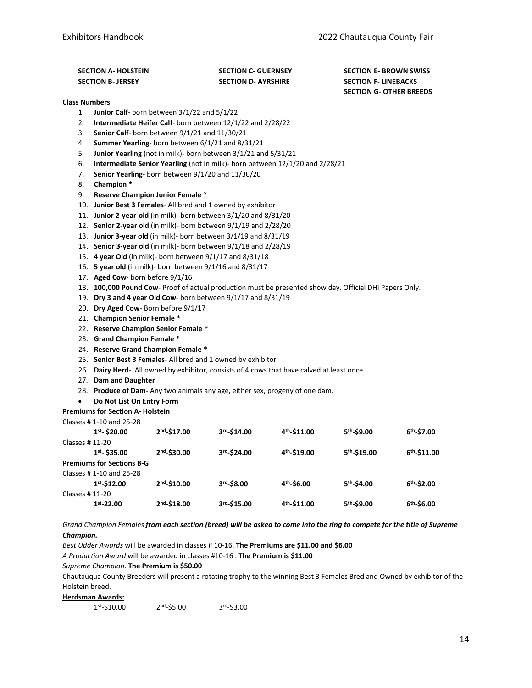| <b>SECTION A- HOLSTEIN</b> | <b>SECTION C- GUERNSEY</b> | <b>SECTION E- BROWN SWISS</b>  |
|----------------------------|----------------------------|--------------------------------|
| <b>SECTION B- JERSEY</b>   | <b>SECTION D- AYRSHIRE</b> | <b>SECTION F- LINEBACKS</b>    |
|                            |                            | <b>SECTION G- OTHER BREEDS</b> |

#### **Class Numbers**

- 1. **Junior Calf** born between 3/1/22 and 5/1/22
- 2. **Intermediate Heifer Calf** born between 12/1/22 and 2/28/22
- 3. **Senior Calf** born between 9/1/21 and 11/30/21
- 4. **Summer Yearling** born between 6/1/21 and 8/31/21
- 5. **Junior Yearling** (not in milk)- born between 3/1/21 and 5/31/21
- 6. **Intermediate Senior Yearling** (not in milk)- born between 12/1/20 and 2/28/21
- 7. **Senior Yearling** born between 9/1/20 and 11/30/20
- 8. **Champion \***
- 9. **Reserve Champion Junior Female \***
- 10. **Junior Best 3 Females** All bred and 1 owned by exhibitor
- 11. **Junior 2-year-old** (in milk)- born between 3/1/20 and 8/31/20
- 12. **Senior 2-year old** (in milk)- born between 9/1/19 and 2/28/20
- 13. **Junior 3-year old** (in milk)- born between 3/1/19 and 8/31/19
- 14. **Senior 3-year old** (in milk)- born between 9/1/18 and 2/28/19
- 15. **4 year Old** (in milk)- born between 9/1/17 and 8/31/18
- 16. **5 year old** (in milk)- born between 9/1/16 and 8/31/17
- 17. **Aged Cow** born before 9/1/16
- 18. **100,000 Pound Cow** Proof of actual production must be presented show day. Official DHI Papers Only.
- 19. **Dry 3 and 4 year Old Cow** born between 9/1/17 and 8/31/19
- 20. **Dry Aged Cow** Born before 9/1/17
- 21. **Champion Senior Female \***
- 22. **Reserve Champion Senior Female \***
- 23. **Grand Champion Female \***
- 24. **Reserve Grand Champion Female \***
- 25. **Senior Best 3 Females** All bred and 1 owned by exhibitor
- 26. **Dairy Herd** All owned by exhibitor, consists of 4 cows that have calved at least once.
- 27. **Dam and Daughter**
- 28. **Produce of Dam-** Any two animals any age, either sex, progeny of one dam.
- **Do Not List On Entry Form**
- **Premiums for Section A- Holstein**

Classes # 1-10 and 25-28

| $1st - $20.00$                   | $2nd - $17.00$ | $3rd-S14.00$   | 4 <sup>th</sup> -\$11.00 | 5 <sup>th</sup> -\$9.00  | $6th - $7.00$  |
|----------------------------------|----------------|----------------|--------------------------|--------------------------|----------------|
| Classes # 11-20                  |                |                |                          |                          |                |
| $1st - $35.00$                   | $2nd - $30.00$ | 3rd-\$24.00    | 4 <sup>th</sup> -\$19.00 | 5 <sup>th</sup> -\$19.00 | $6th - $11.00$ |
| <b>Premiums for Sections B-G</b> |                |                |                          |                          |                |
| Classes #1-10 and 25-28          |                |                |                          |                          |                |
| $1st - $12.00$                   | $2nd - $10.00$ | $3rd - $8.00$  | $4th - $6.00$            | 5 <sup>th</sup> -\$4.00  | $6th - $2.00$  |
| Classes # 11-20                  |                |                |                          |                          |                |
| $1st - 22.00$                    | $2nd - $18.00$ | $3rd - $15.00$ | 4 <sup>th</sup> -\$11.00 | $5th - $9.00$            | $6th - $6.00$  |
|                                  |                |                |                          |                          |                |

*Grand Champion Females from each section (breed) will be asked to come into the ring to compete for the title of Supreme Champion.*

*Best Udder Awards* will be awarded in classes # 10-16. **The Premiums are \$11.00 and \$6.00**

*A Production Award* will be awarded in classes #10-16 . **The Premium is \$11.00**

*Supreme Champion*. **The Premium is \$50.00**

Chautauqua County Breeders will present a rotating trophy to the winning Best 3 Females Bred and Owned by exhibitor of the Holstein breed.

#### **Herdsman Awards:**

1st-\$10.00 2nd-\$5.00 3rd-\$3.00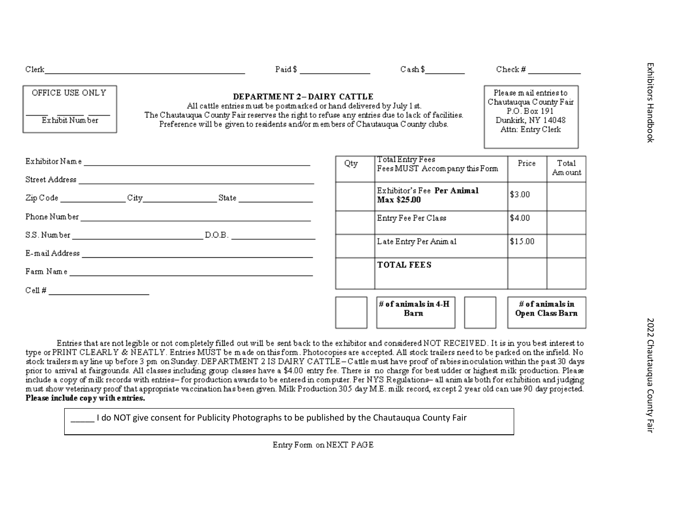| ä      |
|--------|
|        |
| ź<br>ī |
|        |
|        |
|        |
|        |
|        |
| s<br>S |
|        |
|        |
|        |
|        |
|        |
| Ξ      |

|                                   |                                                                                                                                                                                                                                                                                          | Paid $\frac{1}{2}$ $\frac{1}{2}$ $\frac{1}{2}$ $\frac{1}{2}$ $\frac{1}{2}$ $\frac{1}{2}$ $\frac{1}{2}$ $\frac{1}{2}$ $\frac{1}{2}$ $\frac{1}{2}$ $\frac{1}{2}$ $\frac{1}{2}$ $\frac{1}{2}$ $\frac{1}{2}$ $\frac{1}{2}$ $\frac{1}{2}$ $\frac{1}{2}$ $\frac{1}{2}$ $\frac{1}{2}$ $\frac{1}{2}$ $\frac{1}{2}$ $\frac{1}{$ | $\text{Cash }$ \$                                 |  |         |                                                                                                            |  |
|-----------------------------------|------------------------------------------------------------------------------------------------------------------------------------------------------------------------------------------------------------------------------------------------------------------------------------------|------------------------------------------------------------------------------------------------------------------------------------------------------------------------------------------------------------------------------------------------------------------------------------------------------------------------|---------------------------------------------------|--|---------|------------------------------------------------------------------------------------------------------------|--|
| OFFICE USE ONLY<br>Exhibit Number | DEPARTMENT 2-DAIRY CATTLE<br>All cattle entries must be postmarked or hand delivered by July 1 st.<br>The Chautauqua County Fair reserves the right to refuse any entries due to lack of facilities.<br>Preference will be given to residents and/or members of Chautauqua County clubs. |                                                                                                                                                                                                                                                                                                                        |                                                   |  |         | Please mail entries to<br>Chautauqua County Fair<br>P.O. Box 191<br>Dunkirk, NY 14048<br>Attn: Entry Clerk |  |
|                                   |                                                                                                                                                                                                                                                                                          | Qty                                                                                                                                                                                                                                                                                                                    | Total Entry Fees<br>Fees MUST Accompany this Form |  | Price   | Tota1<br>Am ount                                                                                           |  |
|                                   | $\text{Zip Code } \underline{\hspace{2cm}} \text{City } \underline{\hspace{2cm}} \text{State } \underline{\hspace{2cm}} \text{.}$                                                                                                                                                        |                                                                                                                                                                                                                                                                                                                        | Exhibitor's Fee Per Animal<br>Max \$25.00         |  | \$3.00  |                                                                                                            |  |
|                                   |                                                                                                                                                                                                                                                                                          |                                                                                                                                                                                                                                                                                                                        | Entry Fee Per Class                               |  | \$4.00  |                                                                                                            |  |
|                                   |                                                                                                                                                                                                                                                                                          |                                                                                                                                                                                                                                                                                                                        | Late Entry Per Animal                             |  | \$15.00 |                                                                                                            |  |
|                                   |                                                                                                                                                                                                                                                                                          |                                                                                                                                                                                                                                                                                                                        | <b>TOTAL FEES</b>                                 |  |         |                                                                                                            |  |
|                                   |                                                                                                                                                                                                                                                                                          |                                                                                                                                                                                                                                                                                                                        |                                                   |  |         |                                                                                                            |  |
|                                   |                                                                                                                                                                                                                                                                                          |                                                                                                                                                                                                                                                                                                                        | $\#$ of animals in 4-H<br>Вагл                    |  |         | $\#$ of animals in<br>Ореп Class Вагп                                                                      |  |

Entries that are not legible or not completely filled out will be sent back to the exhibitor and considered NOT RECEIVED. It is in you best interest to type or PRINT CLEARLY & NEATLY. Entries MUST be made on this form. Photocopies are accepted. All stock trailers need to be parked on the infield. No stock trailers may line up before 3 pm on Sunday. DEPARTMENT 2 IS DAIRY CATTLE-Cattle must have proof of rabies inoculation within the past 30 days prior to arrival at fairgrounds. All classes including group classes have a \$4.00 entry fee. There is no charge for best udder or highest milk production. Please include a copy of milk records with entries-for production awards to be entered in computer. Per NYS Regulations- all animals both for exhibition and judging must show veterinary proof that appropriate vaccination has been given. Milk Production 305 day M.E. milk record, except 2 year old can use 90 day projected. Please include copy with entries.

| I do NOT give consent for Publicity Photographs to be published by the Chautauqua County Fair |  |
|-----------------------------------------------------------------------------------------------|--|
|-----------------------------------------------------------------------------------------------|--|

Entry Form on NEXT PAGE